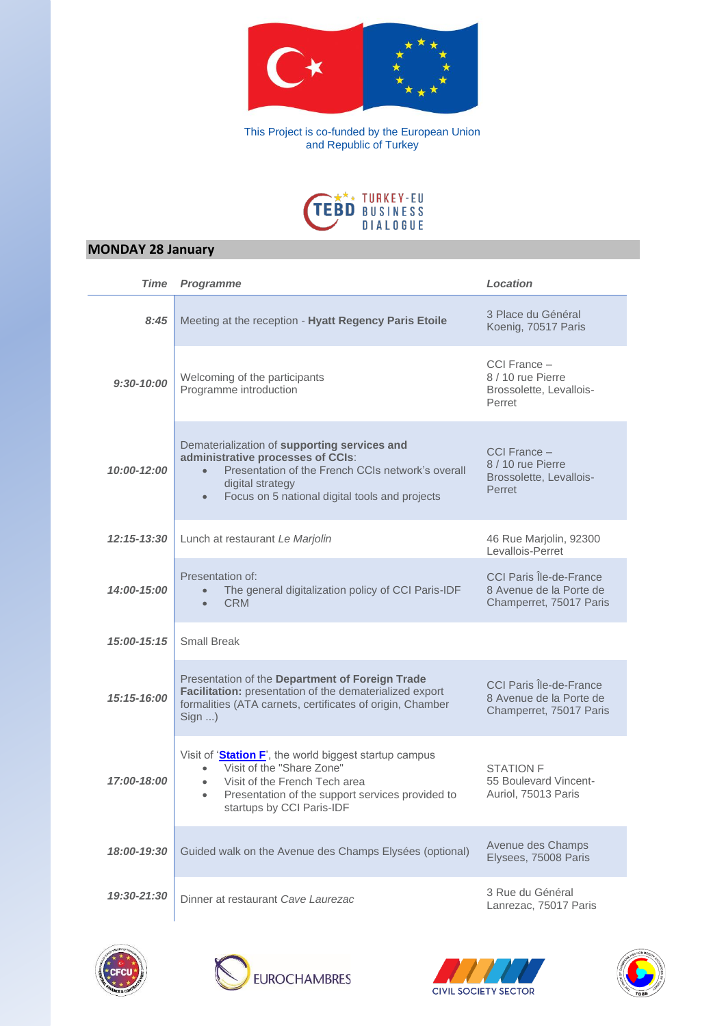

This Project is co-funded by the European Union and Republic of Turkey



## **MONDAY 28 January**

Ĺ,

| Time           | <b>Programme</b>                                                                                                                                                                                                                             | Location                                                                      |
|----------------|----------------------------------------------------------------------------------------------------------------------------------------------------------------------------------------------------------------------------------------------|-------------------------------------------------------------------------------|
| 8:45           | Meeting at the reception - Hyatt Regency Paris Etoile                                                                                                                                                                                        | 3 Place du Général<br>Koenig, 70517 Paris                                     |
| $9:30 - 10:00$ | Welcoming of the participants<br>Programme introduction                                                                                                                                                                                      | CCI France -<br>8 / 10 rue Pierre<br>Brossolette, Levallois-<br>Perret        |
| 10:00-12:00    | Dematerialization of supporting services and<br>administrative processes of CCIs:<br>Presentation of the French CCIs network's overall<br>$\bullet$<br>digital strategy<br>Focus on 5 national digital tools and projects<br>$\bullet$       | CCI France -<br>8 / 10 rue Pierre<br>Brossolette, Levallois-<br>Perret        |
| 12:15-13:30    | Lunch at restaurant Le Marjolin                                                                                                                                                                                                              | 46 Rue Marjolin, 92300<br>Levallois-Perret                                    |
| 14:00-15:00    | Presentation of:<br>The general digitalization policy of CCI Paris-IDF<br><b>CRM</b>                                                                                                                                                         | CCI Paris Île-de-France<br>8 Avenue de la Porte de<br>Champerret, 75017 Paris |
| 15:00-15:15    | <b>Small Break</b>                                                                                                                                                                                                                           |                                                                               |
| 15:15-16:00    | Presentation of the Department of Foreign Trade<br>Facilitation: presentation of the dematerialized export<br>formalities (ATA carnets, certificates of origin, Chamber<br>Sign )                                                            | CCI Paris Île-de-France<br>8 Avenue de la Porte de<br>Champerret, 75017 Paris |
| 17:00-18:00    | Visit of 'Station F', the world biggest startup campus<br>Visit of the "Share Zone"<br>$\bullet$<br>Visit of the French Tech area<br>$\bullet$<br>Presentation of the support services provided to<br>$\bullet$<br>startups by CCI Paris-IDF | <b>STATION F</b><br>55 Boulevard Vincent-<br>Auriol, 75013 Paris              |
| 18:00-19:30    | Guided walk on the Avenue des Champs Elysées (optional)                                                                                                                                                                                      | Avenue des Champs<br>Elysees, 75008 Paris                                     |
| 19:30-21:30    | Dinner at restaurant Cave Laurezac                                                                                                                                                                                                           | 3 Rue du Général<br>Lanrezac, 75017 Paris                                     |







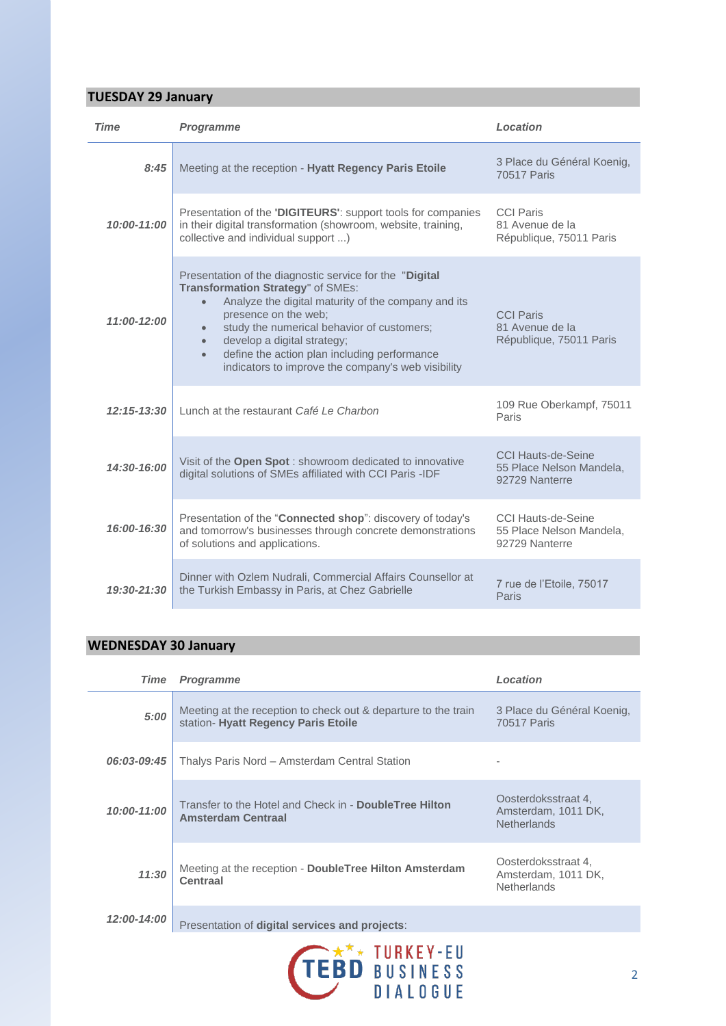## **TUESDAY 29 January**

| Time            | <b>Programme</b>                                                                                                                                                                                                                                                                                                                                                                                                    | Location                                                                |
|-----------------|---------------------------------------------------------------------------------------------------------------------------------------------------------------------------------------------------------------------------------------------------------------------------------------------------------------------------------------------------------------------------------------------------------------------|-------------------------------------------------------------------------|
| 8:45            | Meeting at the reception - Hyatt Regency Paris Etoile                                                                                                                                                                                                                                                                                                                                                               | 3 Place du Général Koenig,<br>70517 Paris                               |
| 10:00-11:00     | Presentation of the 'DIGITEURS': support tools for companies<br>in their digital transformation (showroom, website, training,<br>collective and individual support )                                                                                                                                                                                                                                                | <b>CCI Paris</b><br>81 Avenue de la<br>République, 75011 Paris          |
| 11:00-12:00     | Presentation of the diagnostic service for the "Digital"<br>Transformation Strategy" of SMEs:<br>Analyze the digital maturity of the company and its<br>$\bullet$<br>presence on the web;<br>study the numerical behavior of customers;<br>$\bullet$<br>develop a digital strategy;<br>$\bullet$<br>define the action plan including performance<br>$\bullet$<br>indicators to improve the company's web visibility | <b>CCI Paris</b><br>81 Avenue de la<br>République, 75011 Paris          |
| $12:15 - 13:30$ | Lunch at the restaurant Café Le Charbon                                                                                                                                                                                                                                                                                                                                                                             | 109 Rue Oberkampf, 75011<br>Paris                                       |
| 14:30-16:00     | Visit of the Open Spot: showroom dedicated to innovative<br>digital solutions of SMEs affiliated with CCI Paris -IDF                                                                                                                                                                                                                                                                                                | CCI Hauts-de-Seine<br>55 Place Nelson Mandela,<br>92729 Nanterre        |
| 16:00-16:30     | Presentation of the "Connected shop": discovery of today's<br>and tomorrow's businesses through concrete demonstrations<br>of solutions and applications.                                                                                                                                                                                                                                                           | <b>CCI Hauts-de-Seine</b><br>55 Place Nelson Mandela.<br>92729 Nanterre |
| $19:30 - 21:30$ | Dinner with Ozlem Nudrali, Commercial Affairs Counsellor at<br>the Turkish Embassy in Paris, at Chez Gabrielle                                                                                                                                                                                                                                                                                                      | 7 rue de l'Etoile, 75017<br>Paris                                       |

## **WEDNESDAY 30 January**

| Time        | <b>Programme</b>                                                                                      | Location                                                         |
|-------------|-------------------------------------------------------------------------------------------------------|------------------------------------------------------------------|
| 5:00        | Meeting at the reception to check out & departure to the train<br>station- Hyatt Regency Paris Etoile | 3 Place du Général Koenig,<br><b>70517 Paris</b>                 |
| 06:03-09:45 | Thalys Paris Nord - Amsterdam Central Station                                                         |                                                                  |
| 10:00-11:00 | Transfer to the Hotel and Check in - DoubleTree Hilton<br><b>Amsterdam Centraal</b>                   | Oosterdoksstraat 4,<br>Amsterdam, 1011 DK,<br><b>Netherlands</b> |
| 11:30       | Meeting at the reception - DoubleTree Hilton Amsterdam<br>Centraal                                    | Oosterdoksstraat 4,<br>Amsterdam, 1011 DK,<br><b>Netherlands</b> |
| 12:00-14:00 | Presentation of digital services and projects:                                                        |                                                                  |